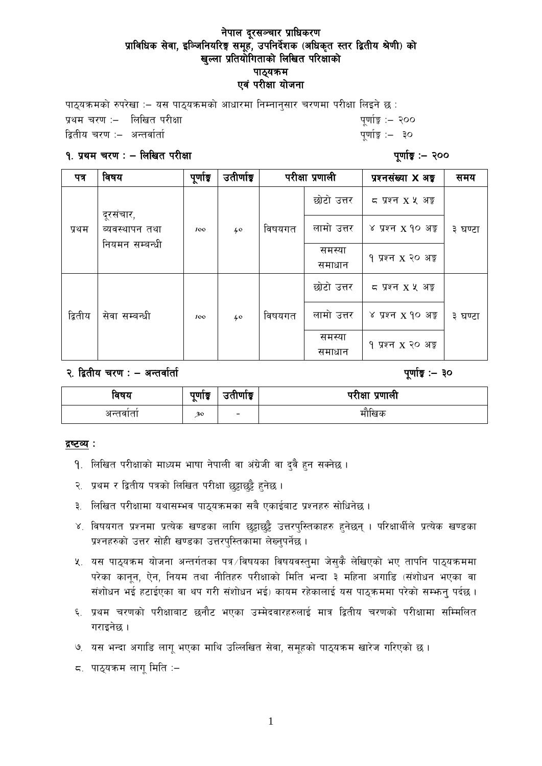पाठयक्रमको रुपरेखा :- यस पाठयक्रमको आधारमा निम्नानसार चरणमा परीक्षा लिइने छ :  $\frac{1}{2}$ प्रथम चरण :– लिखित परीक्षा  $\frac{1}{2}$  - स्थित करता है। स्थान करता सुर्गा करता है। स्थान करता है  $\frac{1}{6}$ द्वितीय चरण :– अन्तर्वार्ता सामान्य सम्मान्य सम्मान्य सम्मान्य सम्मान्य सम्मान्य सम्मान्य सम्मान्य सम्मान्य

#### $9.$  प्रथम चरण : – लिखित परीक्षा  $\blacksquare$

| पत्र    | विषय                                          | पूर्णाङ्क | उतीर्णाङ्क |        | परीक्षा प्रणाली  | प्रश्नसंख्या X अड़             | समय     |
|---------|-----------------------------------------------|-----------|------------|--------|------------------|--------------------------------|---------|
| प्रथम   | दूरसंचार,<br>ब्यवस्थापन तथा<br>नियमन सम्बन्धी | 100       | 40         | विषयगत | छोटो उत्तर       | $5 \times 127$ $X \times 35$   | ३ घण्टा |
|         |                                               |           |            |        | लामो उत्तर       | ४ प्रश्न x १० अङ्क             |         |
|         |                                               |           |            |        | समस्या<br>समाधान | १ प्रश्न x २० अङ्क             |         |
| द्वितीय | सेवा सम्बन्धी                                 | 100       | 40         | विषयगत | छोटो उत्तर       | $5 \times 127$ $X \times 35$   | ३ घण्टा |
|         |                                               |           |            |        | लामो उत्तर       | ४ प्रश्न x १० अङ्क             |         |
|         |                                               |           |            |        | समस्या<br>समाधान | १ प्रश्न x २० अङ् <del>र</del> |         |

२. द्वितीय चरण : – अन्तर्वार्ता  $\cdot$  – कार्त्तवार्ता संस्था कार्त्य संस्कृति कार्त्य पूर्णाङ्कः । २०

| विषय     | पुणाङ्क<br>$\sim$ | उताणाडू                  | परीक्षा प्रणाली |
|----------|-------------------|--------------------------|-----------------|
| अन्तवाता | 30                | $\overline{\phantom{0}}$ | माखिक           |

#### द्रष्टव्य :

- 9. लिखित परीक्षाको माध्यम भाषा नेपाली वा अंग्रेजी वा दुवै हुन सक्नेछ ।
- २. प्रथम र द्वितीय पत्रको लिखित परीक्षा छुट्टाछुट्टै हुनेछ ।
- ३. लिखित परीक्षामा यथासम्भव पाठुयक्रमका सबै एकाईबाट प्रश्नहरु सोधिनेछ ।
- ४. विषयगत प्रश्नमा प्रत्येक खण्डका लागि छुट्टाछुट्टै उत्तरपुस्तिकाहरु हुनेछन् । परिक्षार्थीले प्रत्येक खण्डका प्रश्नहरुको उत्तर सोही खण्डका उत्तरपुस्तिकामा लेख्नुपर्नेछ ।
- $x_{i}$  यस पाठ्यक्रम योजना अन्तर्गतका पत्र /विषयका विषयवस्तुमा जेसुकै लेखिएको भए तापनि पाठ्यक्रममा परेका कानुन, ऐन, नियम तथा नीतिहरु परीक्षाको मिति भन्दा ३ महिना अगाडि (संशोधन भएका वा संशोधन भई हटाईएका वा थप गरी संशोधन भई) कायम रहेकालाई यस पाठुकममा परेको सम्भन्न पर्दछ ।
- ६. प्रथम चरणको परीक्षाबाट छनौट भएका उम्मेदवारहरुलाई मात्र द्वितीय चरणको परीक्षामा सम्मिलित गराइनेछ ।
- **७. यस भन्दा अगाडि लागु भएका माथि उल्लिखित सेवा, समुहको पाठुयक्रम खारेज गरिएको छ।**
- $\leq$ . पाठ्यक्रम लागू मिति :–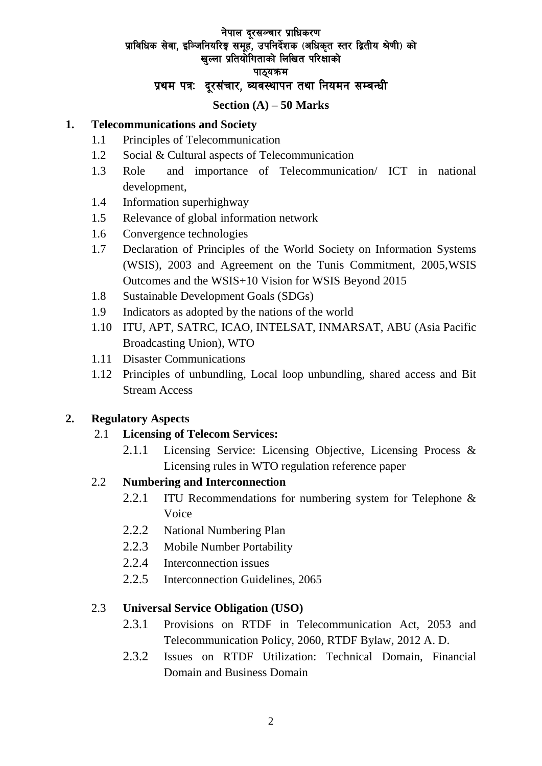### नेपाल दूरसञ्चार प्राधिकरण प्राविधिक सेवा. इञ्जिनियरिङ्ग समह. उपनिर्देशक (अधिकत स्तर द्वितीय श्रेणी) को खल्ला प्रतियोगिताको लिखित परिक्षाको पाठ्यक्रम प्रथम पत्रः दुरसंचार, व्यवस्थापन तथा नियमन सम्बन्धी

#### **Section (A) – 50 Marks**

#### **1. Telecommunications and Society**

- 1.1 Principles of Telecommunication
- 1.2 Social & Cultural aspects of Telecommunication
- 1.3 Role and importance of Telecommunication/ ICT in national development,
- 1.4 Information superhighway
- 1.5 Relevance of global information network
- 1.6 Convergence technologies
- 1.7 Declaration of Principles of the World Society on Information Systems (WSIS), 2003 and Agreement on the Tunis Commitment, 2005,WSIS Outcomes and the WSIS+10 Vision for WSIS Beyond 2015
- 1.8 Sustainable Development Goals (SDGs)
- 1.9 Indicators as adopted by the nations of the world
- 1.10 ITU, APT, SATRC, ICAO, INTELSAT, INMARSAT, ABU (Asia Pacific Broadcasting Union), WTO
- 1.11 Disaster Communications
- 1.12 Principles of unbundling, Local loop unbundling, shared access and Bit Stream Access

### **2. Regulatory Aspects**

### 2.1 **Licensing of Telecom Services:**

2.1.1 Licensing Service: Licensing Objective, Licensing Process & Licensing rules in WTO regulation reference paper

### 2.2 **Numbering and Interconnection**

- 2.2.1 ITU Recommendations for numbering system for Telephone & Voice
- 2.2.2 National Numbering Plan
- 2.2.3 Mobile Number Portability
- 2.2.4 Interconnection issues
- 2.2.5 Interconnection Guidelines, 2065

### 2.3 **Universal Service Obligation (USO)**

- 2.3.1 Provisions on RTDF in Telecommunication Act, 2053 and Telecommunication Policy, 2060, RTDF Bylaw, 2012 A. D.
- 2.3.2 Issues on RTDF Utilization: Technical Domain, Financial Domain and Business Domain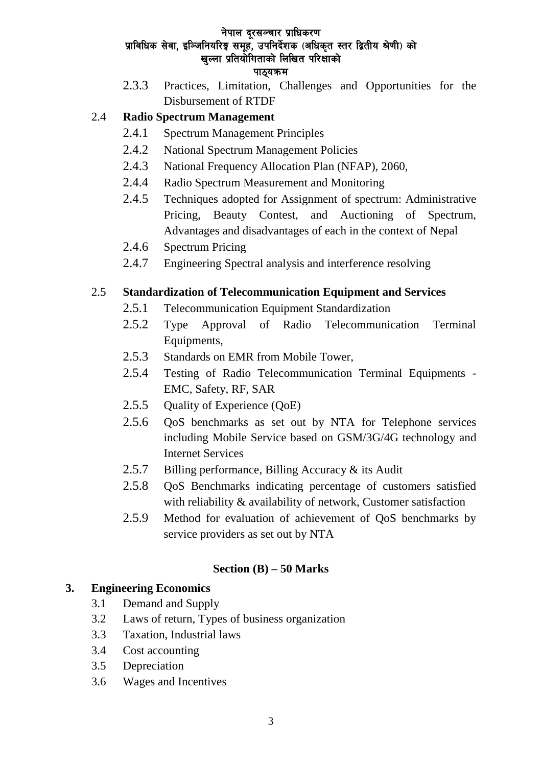2.3.3 Practices, Limitation, Challenges and Opportunities for the Disbursement of RTDF

# 2.4 **Radio Spectrum Management**

- 2.4.1 Spectrum Management Principles
- 2.4.2 National Spectrum Management Policies
- 2.4.3 National Frequency Allocation Plan (NFAP), 2060,
- 2.4.4 Radio Spectrum Measurement and Monitoring
- 2.4.5 Techniques adopted for Assignment of spectrum: Administrative Pricing, Beauty Contest, and Auctioning of Spectrum, Advantages and disadvantages of each in the context of Nepal
- 2.4.6 Spectrum Pricing
- 2.4.7 Engineering Spectral analysis and interference resolving

# 2.5 **Standardization of Telecommunication Equipment and Services**

- 2.5.1 Telecommunication Equipment Standardization
- 2.5.2 Type Approval of Radio Telecommunication Terminal Equipments,
- 2.5.3 Standards on EMR from Mobile Tower,
- 2.5.4 Testing of Radio Telecommunication Terminal Equipments EMC, Safety, RF, SAR
- 2.5.5 Quality of Experience (QoE)
- 2.5.6 QoS benchmarks as set out by NTA for Telephone services including Mobile Service based on GSM/3G/4G technology and Internet Services
- 2.5.7 Billing performance, Billing Accuracy & its Audit
- 2.5.8 QoS Benchmarks indicating percentage of customers satisfied with reliability & availability of network, Customer satisfaction
- 2.5.9 Method for evaluation of achievement of QoS benchmarks by service providers as set out by NTA

# **Section (B) – 50 Marks**

# **3. Engineering Economics**

- 3.1 Demand and Supply
- 3.2 Laws of return, Types of business organization
- 3.3 Taxation, Industrial laws
- 3.4 Cost accounting
- 3.5 Depreciation
- 3.6 Wages and Incentives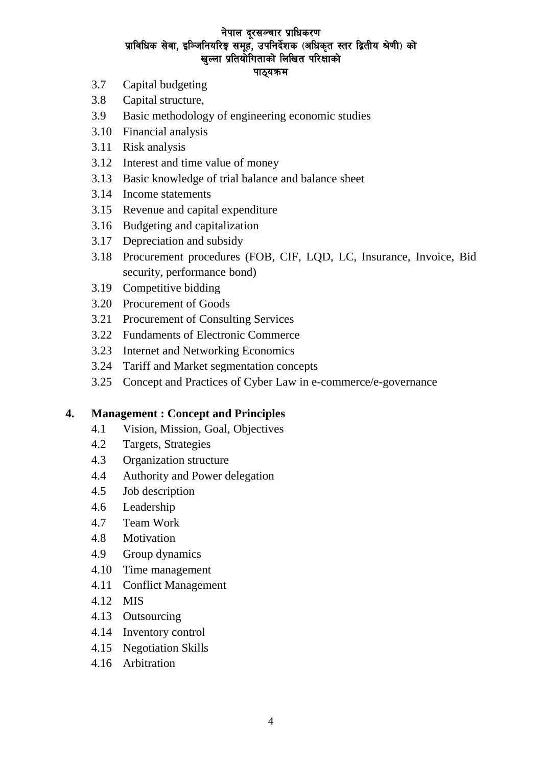- 3.7 Capital budgeting
- 3.8 Capital structure,
- 3.9 Basic methodology of engineering economic studies
- 3.10 Financial analysis
- 3.11 Risk analysis
- 3.12 Interest and time value of money
- 3.13 Basic knowledge of trial balance and balance sheet
- 3.14 Income statements
- 3.15 Revenue and capital expenditure
- 3.16 Budgeting and capitalization
- 3.17 Depreciation and subsidy
- 3.18 Procurement procedures (FOB, CIF, LQD, LC, Insurance, Invoice, Bid security, performance bond)
- 3.19 Competitive bidding
- 3.20 Procurement of Goods
- 3.21 Procurement of Consulting Services
- 3.22 Fundaments of Electronic Commerce
- 3.23 Internet and Networking Economics
- 3.24 Tariff and Market segmentation concepts
- 3.25 Concept and Practices of Cyber Law in e-commerce/e-governance

#### **4. Management : Concept and Principles**

- 4.1 Vision, Mission, Goal, Objectives
- 4.2 Targets, Strategies
- 4.3 Organization structure
- 4.4 Authority and Power delegation
- 4.5 Job description
- 4.6 Leadership
- 4.7 Team Work
- 4.8 Motivation
- 4.9 Group dynamics
- 4.10 Time management
- 4.11 Conflict Management
- 4.12 MIS
- 4.13 Outsourcing
- 4.14 Inventory control
- 4.15 Negotiation Skills
- 4.16 Arbitration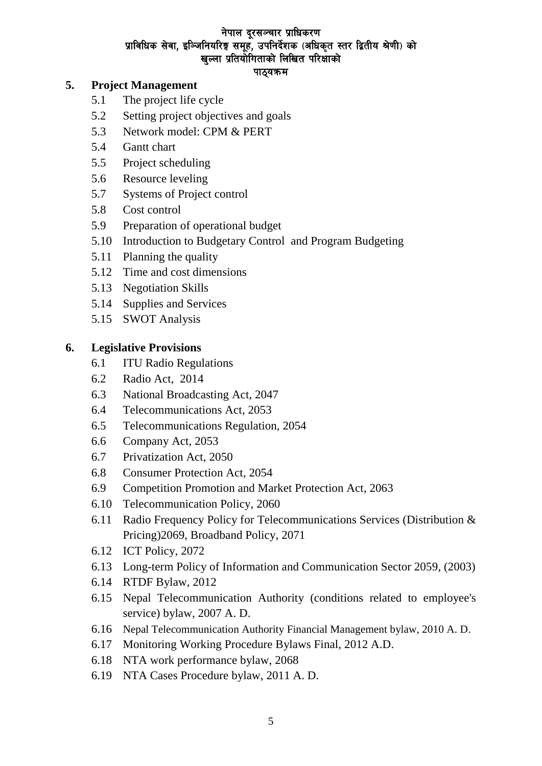### **5. Project Management**

- 5.1 The project life cycle
- 5.2 Setting project objectives and goals
- 5.3 Network model: CPM & PERT
- 5.4 Gantt chart
- 5.5 Project scheduling
- 5.6 Resource leveling
- 5.7 Systems of Project control
- 5.8 Cost control
- 5.9 Preparation of operational budget
- 5.10 Introduction to Budgetary Control and Program Budgeting
- 5.11 Planning the quality
- 5.12 Time and cost dimensions
- 5.13 Negotiation Skills
- 5.14 Supplies and Services
- 5.15 SWOT Analysis

#### **6. Legislative Provisions**

- 6.1 ITU Radio Regulations
- 6.2 Radio Act, 2014
- 6.3 National Broadcasting Act, 2047
- 6.4 Telecommunications Act, 2053
- 6.5 Telecommunications Regulation, 2054
- 6.6 Company Act, 2053
- 6.7 Privatization Act, 2050
- 6.8 Consumer Protection Act, 2054
- 6.9 Competition Promotion and Market Protection Act, 2063
- 6.10 Telecommunication Policy, 2060
- 6.11 Radio Frequency Policy for Telecommunications Services (Distribution & Pricing)2069, Broadband Policy, 2071
- 6.12 ICT Policy, 2072
- 6.13 [Long-term Policy of Information and Communication Sector 2059,](http://www.moic.gov.np/upload/documents/Long-term-Policy-of-Information-and-Communication-Sector-2059-eng.pdf) (2003)
- 6.14 RTDF Bylaw, 2012
- 6.15 Nepal Telecommunication Authority (conditions related to employee's service) bylaw, 2007 A. D.
- 6.16 Nepal Telecommunication Authority Financial Management bylaw, 2010 A. D.
- 6.17 Monitoring Working Procedure Bylaws Final, 2012 A.D.
- 6.18 NTA work performance bylaw, 2068
- 6.19 NTA Cases Procedure bylaw, 2011 A. D.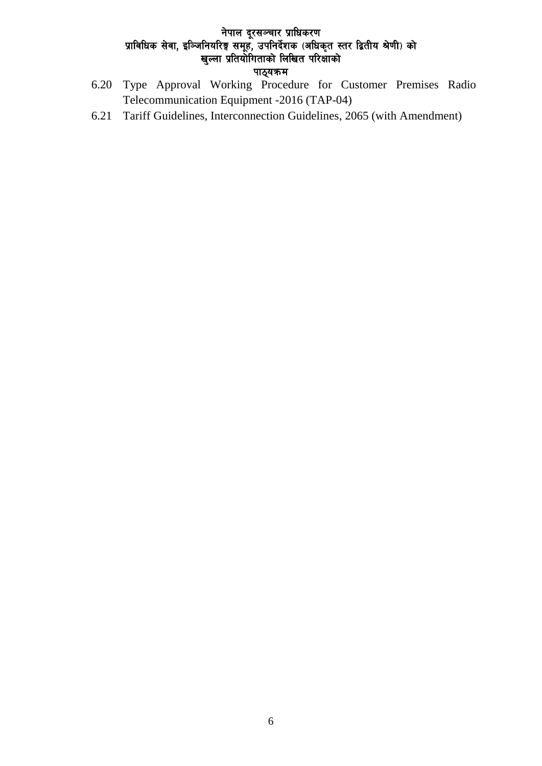- 6.20 Type Approval Working Procedure for Customer Premises Radio Telecommunication Equipment -2016 (TAP-04)
- 6.21 Tariff Guidelines, Interconnection Guidelines, 2065 (with Amendment)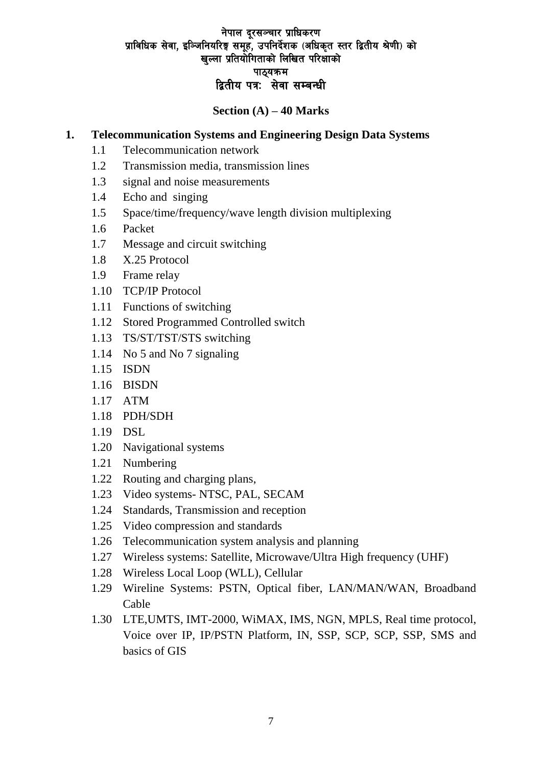## **Section (A) – 40 Marks**

### **1. Telecommunication Systems and Engineering Design Data Systems**

- 1.1 Telecommunication network
- 1.2 Transmission media, transmission lines
- 1.3 signal and noise measurements
- 1.4 Echo and singing
- 1.5 Space/time/frequency/wave length division multiplexing
- 1.6 Packet
- 1.7 Message and circuit switching
- 1.8 X.25 Protocol
- 1.9 Frame relay
- 1.10 TCP/IP Protocol
- 1.11 Functions of switching
- 1.12 Stored Programmed Controlled switch
- 1.13 TS/ST/TST/STS switching
- 1.14 No 5 and No 7 signaling
- 1.15 ISDN
- 1.16 BISDN
- 1.17 ATM
- 1.18 PDH/SDH
- 1.19 DSL
- 1.20 Navigational systems
- 1.21 Numbering
- 1.22 Routing and charging plans,
- 1.23 Video systems- NTSC, PAL, SECAM
- 1.24 Standards, Transmission and reception
- 1.25 Video compression and standards
- 1.26 Telecommunication system analysis and planning
- 1.27 Wireless systems: Satellite, Microwave/Ultra High frequency (UHF)
- 1.28 Wireless Local Loop (WLL), Cellular
- 1.29 Wireline Systems: PSTN, Optical fiber, LAN/MAN/WAN, Broadband Cable
- 1.30 LTE,UMTS, IMT-2000, WiMAX, IMS, NGN, MPLS, Real time protocol, Voice over IP, IP/PSTN Platform, IN, SSP, SCP, SCP, SSP, SMS and basics of GIS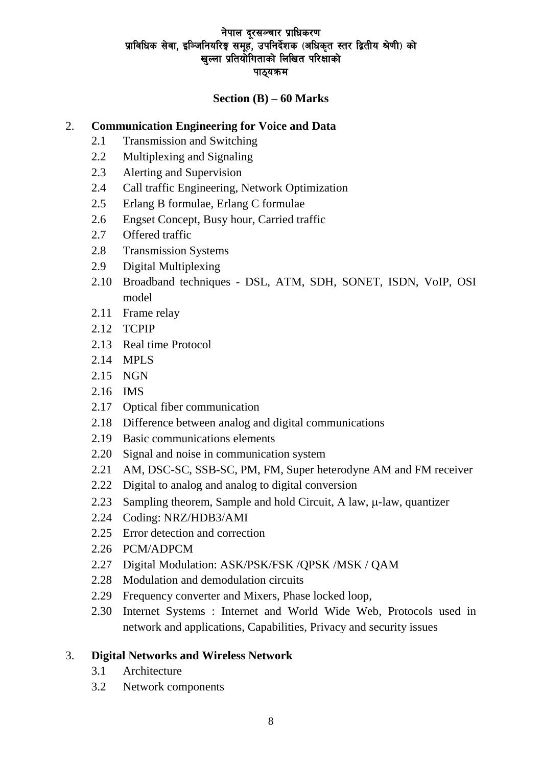### **Section (B) – 60 Marks**

#### 2. **Communication Engineering for Voice and Data**

- 2.1 Transmission and Switching
- 2.2 Multiplexing and Signaling
- 2.3 Alerting and Supervision
- 2.4 Call traffic Engineering, Network Optimization
- 2.5 Erlang B formulae, Erlang C formulae
- 2.6 Engset Concept, Busy hour, Carried traffic
- 2.7 Offered traffic
- 2.8 Transmission Systems
- 2.9 Digital Multiplexing
- 2.10 Broadband techniques DSL, ATM, SDH, SONET, ISDN, VoIP, OSI model
- 2.11 Frame relay
- 2.12 TCPIP
- 2.13 Real time Protocol
- 2.14 MPLS
- 2.15 NGN
- 2.16 IMS
- 2.17 Optical fiber communication
- 2.18 Difference between analog and digital communications
- 2.19 Basic communications elements
- 2.20 Signal and noise in communication system
- 2.21 AM, DSC-SC, SSB-SC, PM, FM, Super heterodyne AM and FM receiver
- 2.22 Digital to analog and analog to digital conversion
- 2.23 Sampling theorem, Sample and hold Circuit, A law,  $\mu$ -law, quantizer
- 2.24 Coding: NRZ/HDB3/AMI
- 2.25 Error detection and correction
- 2.26 PCM/ADPCM
- 2.27 Digital Modulation: ASK/PSK/FSK /QPSK /MSK / QAM
- 2.28 Modulation and demodulation circuits
- 2.29 Frequency converter and Mixers, Phase locked loop,
- 2.30 Internet Systems : Internet and World Wide Web, Protocols used in network and applications, Capabilities, Privacy and security issues

#### 3. **Digital Networks and Wireless Network**

- 3.1 Architecture
- 3.2 Network components